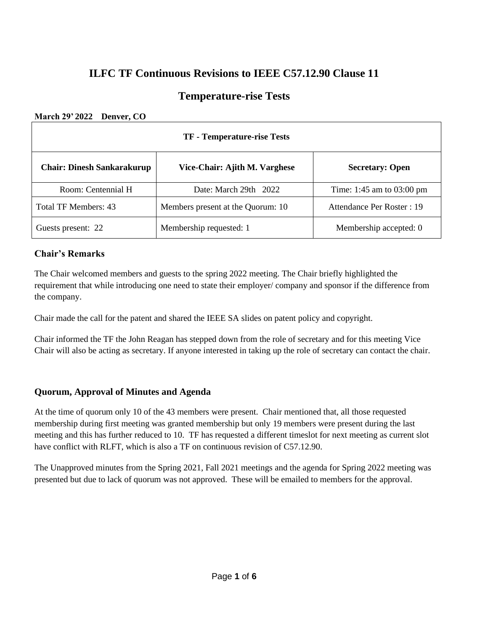## **ILFC TF Continuous Revisions to IEEE C57.12.90 Clause 11**

## **Temperature-rise Tests**

### **March 29' 2022 Denver, CO**

| TF - Temperature-rise Tests       |                                   |                                     |  |  |  |
|-----------------------------------|-----------------------------------|-------------------------------------|--|--|--|
| <b>Chair: Dinesh Sankarakurup</b> | Vice-Chair: Ajith M. Varghese     | <b>Secretary: Open</b>              |  |  |  |
| Room: Centennial H                | Date: March $29th$ $2022$         | Time: 1:45 am to $03:00 \text{ pm}$ |  |  |  |
| Total TF Members: 43              | Members present at the Quorum: 10 | Attendance Per Roster : 19          |  |  |  |
| Guests present: 22                | Membership requested: 1           |                                     |  |  |  |

## **Chair's Remarks**

The Chair welcomed members and guests to the spring 2022 meeting. The Chair briefly highlighted the requirement that while introducing one need to state their employer/ company and sponsor if the difference from the company.

Chair made the call for the patent and shared the IEEE SA slides on patent policy and copyright.

Chair informed the TF the John Reagan has stepped down from the role of secretary and for this meeting Vice Chair will also be acting as secretary. If anyone interested in taking up the role of secretary can contact the chair.

## **Quorum, Approval of Minutes and Agenda**

At the time of quorum only 10 of the 43 members were present. Chair mentioned that, all those requested membership during first meeting was granted membership but only 19 members were present during the last meeting and this has further reduced to 10. TF has requested a different timeslot for next meeting as current slot have conflict with RLFT, which is also a TF on continuous revision of C57.12.90.

The Unapproved minutes from the Spring 2021, Fall 2021 meetings and the agenda for Spring 2022 meeting was presented but due to lack of quorum was not approved. These will be emailed to members for the approval.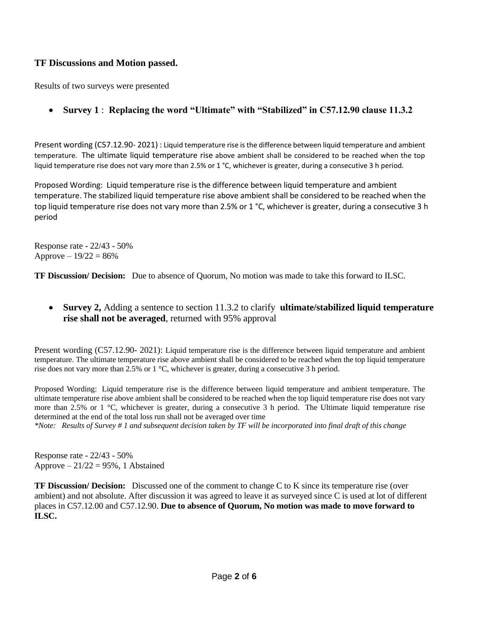## **TF Discussions and Motion passed.**

Results of two surveys were presented

## • **Survey 1** : **Replacing the word "Ultimate" with "Stabilized" in C57.12.90 clause 11.3.2**

Present wording (C57.12.90- 2021) : Liquid temperature rise is the difference between liquid temperature and ambient temperature. The ultimate liquid temperature rise above ambient shall be considered to be reached when the top liquid temperature rise does not vary more than 2.5% or 1 °C, whichever is greater, during a consecutive 3 h period.

Proposed Wording: Liquid temperature rise is the difference between liquid temperature and ambient temperature. The stabilized liquid temperature rise above ambient shall be considered to be reached when the top liquid temperature rise does not vary more than 2.5% or 1 °C, whichever is greater, during a consecutive 3 h period

Response rate - 22/43 - 50% Approve  $-19/22 = 86%$ 

**TF Discussion/ Decision:** Due to absence of Quorum, No motion was made to take this forward to ILSC.

## • **Survey 2,** Adding a sentence to section 11.3.2 to clarify **ultimate/stabilized liquid temperature rise shall not be averaged**, returned with 95% approval

Present wording (C57.12.90- 2021): Liquid temperature rise is the difference between liquid temperature and ambient temperature. The ultimate temperature rise above ambient shall be considered to be reached when the top liquid temperature rise does not vary more than 2.5% or 1 °C, whichever is greater, during a consecutive 3 h period.

Proposed Wording: Liquid temperature rise is the difference between liquid temperature and ambient temperature. The ultimate temperature rise above ambient shall be considered to be reached when the top liquid temperature rise does not vary more than 2.5% or 1 °C, whichever is greater, during a consecutive 3 h period. The Ultimate liquid temperature rise determined at the end of the total loss run shall not be averaged over time

*\*Note: Results of Survey # 1 and subsequent decision taken by TF will be incorporated into final draft of this change*

Response rate - 22/43 - 50% Approve  $-21/22 = 95\%$ , 1 Abstained

**TF Discussion/ Decision:** Discussed one of the comment to change C to K since its temperature rise (over ambient) and not absolute. After discussion it was agreed to leave it as surveyed since C is used at lot of different places in C57.12.00 and C57.12.90. **Due to absence of Quorum, No motion was made to move forward to ILSC.**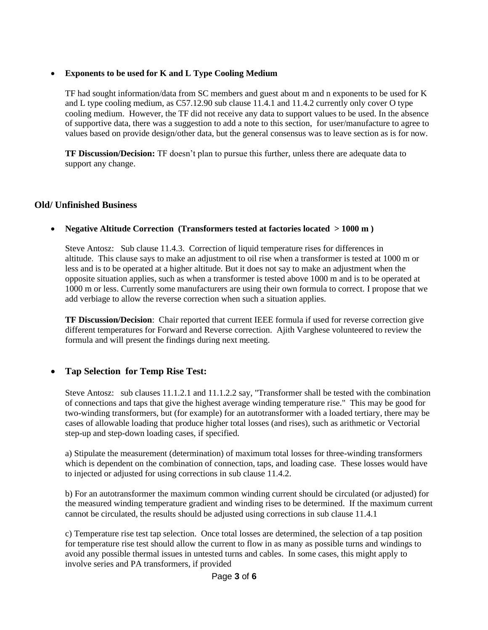#### • **Exponents to be used for K and L Type Cooling Medium**

TF had sought information/data from SC members and guest about m and n exponents to be used for K and L type cooling medium, as C57.12.90 sub clause 11.4.1 and 11.4.2 currently only cover O type cooling medium. However, the TF did not receive any data to support values to be used. In the absence of supportive data, there was a suggestion to add a note to this section, for user/manufacture to agree to values based on provide design/other data, but the general consensus was to leave section as is for now.

**TF Discussion/Decision:** TF doesn't plan to pursue this further, unless there are adequate data to support any change.

#### **Old/ Unfinished Business**

#### • **Negative Altitude Correction (Transformers tested at factories located > 1000 m )**

Steve Antosz: Sub clause 11.4.3. Correction of liquid temperature rises for differences in altitude. This clause says to make an adjustment to oil rise when a transformer is tested at 1000 m or less and is to be operated at a higher altitude. But it does not say to make an adjustment when the opposite situation applies, such as when a transformer is tested above 1000 m and is to be operated at 1000 m or less. Currently some manufacturers are using their own formula to correct. I propose that we add verbiage to allow the reverse correction when such a situation applies.

**TF Discussion/Decision**: Chair reported that current IEEE formula if used for reverse correction give different temperatures for Forward and Reverse correction. Ajith Varghese volunteered to review the formula and will present the findings during next meeting.

#### • **Tap Selection for Temp Rise Test:**

Steve Antosz: sub clauses 11.1.2.1 and 11.1.2.2 say, "Transformer shall be tested with the combination of connections and taps that give the highest average winding temperature rise." This may be good for two-winding transformers, but (for example) for an autotransformer with a loaded tertiary, there may be cases of allowable loading that produce higher total losses (and rises), such as arithmetic or Vectorial step-up and step-down loading cases, if specified.

a) Stipulate the measurement (determination) of maximum total losses for three-winding transformers which is dependent on the combination of connection, taps, and loading case. These losses would have to injected or adjusted for using corrections in sub clause 11.4.2.

b) For an autotransformer the maximum common winding current should be circulated (or adjusted) for the measured winding temperature gradient and winding rises to be determined. If the maximum current cannot be circulated, the results should be adjusted using corrections in sub clause 11.4.1

c) Temperature rise test tap selection. Once total losses are determined, the selection of a tap position for temperature rise test should allow the current to flow in as many as possible turns and windings to avoid any possible thermal issues in untested turns and cables. In some cases, this might apply to involve series and PA transformers, if provided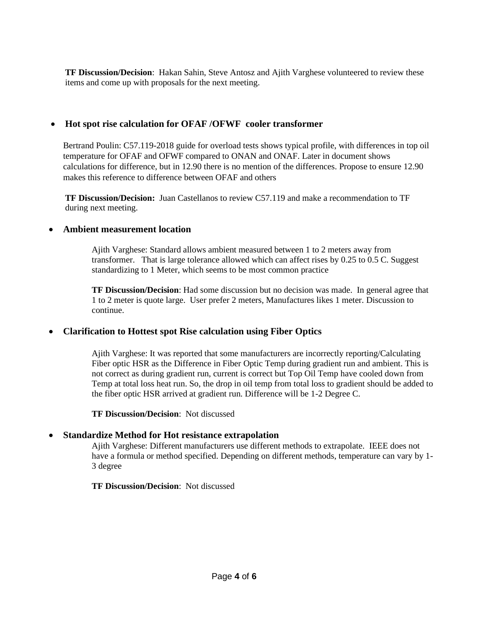**TF Discussion/Decision**: Hakan Sahin, Steve Antosz and Ajith Varghese volunteered to review these items and come up with proposals for the next meeting.

## • **Hot spot rise calculation for OFAF /OFWF cooler transformer**

Bertrand Poulin: C57.119-2018 guide for overload tests shows typical profile, with differences in top oil temperature for OFAF and OFWF compared to ONAN and ONAF. Later in document shows calculations for difference, but in 12.90 there is no mention of the differences. Propose to ensure 12.90 makes this reference to difference between OFAF and others

**TF Discussion/Decision:** Juan Castellanos to review C57.119 and make a recommendation to TF during next meeting.

## • **Ambient measurement location**

Ajith Varghese: Standard allows ambient measured between 1 to 2 meters away from transformer. That is large tolerance allowed which can affect rises by 0.25 to 0.5 C. Suggest standardizing to 1 Meter, which seems to be most common practice

**TF Discussion/Decision**: Had some discussion but no decision was made. In general agree that 1 to 2 meter is quote large. User prefer 2 meters, Manufactures likes 1 meter. Discussion to continue.

## • **Clarification to Hottest spot Rise calculation using Fiber Optics**

Ajith Varghese: It was reported that some manufacturers are incorrectly reporting/Calculating Fiber optic HSR as the Difference in Fiber Optic Temp during gradient run and ambient. This is not correct as during gradient run, current is correct but Top Oil Temp have cooled down from Temp at total loss heat run. So, the drop in oil temp from total loss to gradient should be added to the fiber optic HSR arrived at gradient run. Difference will be 1-2 Degree C.

**TF Discussion/Decision**: Not discussed

#### • **Standardize Method for Hot resistance extrapolation**

Ajith Varghese: Different manufacturers use different methods to extrapolate. IEEE does not have a formula or method specified. Depending on different methods, temperature can vary by 1- 3 degree

**TF Discussion/Decision**: Not discussed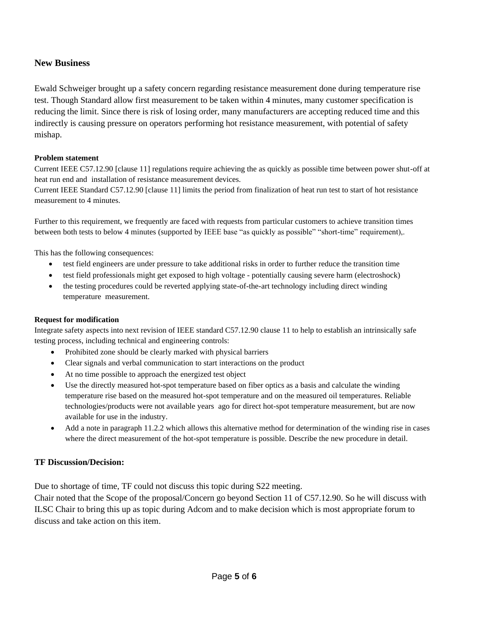### **New Business**

Ewald Schweiger brought up a safety concern regarding resistance measurement done during temperature rise test. Though Standard allow first measurement to be taken within 4 minutes, many customer specification is reducing the limit. Since there is risk of losing order, many manufacturers are accepting reduced time and this indirectly is causing pressure on operators performing hot resistance measurement, with potential of safety mishap.

#### **Problem statement**

Current IEEE C57.12.90 [clause 11] regulations require achieving the as quickly as possible time between power shut-off at heat run end and installation of resistance measurement devices.

Current IEEE Standard C57.12.90 [clause 11] limits the period from finalization of heat run test to start of hot resistance measurement to 4 minutes.

Further to this requirement, we frequently are faced with requests from particular customers to achieve transition times between both tests to below 4 minutes (supported by IEEE base "as quickly as possible" "short-time" requirement),.

This has the following consequences:

- test field engineers are under pressure to take additional risks in order to further reduce the transition time
- test field professionals might get exposed to high voltage potentially causing severe harm (electroshock)
- the testing procedures could be reverted applying state-of-the-art technology including direct winding temperature measurement.

#### **Request for modification**

Integrate safety aspects into next revision of IEEE standard C57.12.90 clause 11 to help to establish an intrinsically safe testing process, including technical and engineering controls:

- Prohibited zone should be clearly marked with physical barriers
- Clear signals and verbal communication to start interactions on the product
- At no time possible to approach the energized test object
- Use the directly measured hot-spot temperature based on fiber optics as a basis and calculate the winding temperature rise based on the measured hot-spot temperature and on the measured oil temperatures. Reliable technologies/products were not available years ago for direct hot-spot temperature measurement, but are now available for use in the industry.
- Add a note in paragraph 11.2.2 which allows this alternative method for determination of the winding rise in cases where the direct measurement of the hot-spot temperature is possible. Describe the new procedure in detail.

#### **TF Discussion/Decision:**

Due to shortage of time, TF could not discuss this topic during S22 meeting.

Chair noted that the Scope of the proposal/Concern go beyond Section 11 of C57.12.90. So he will discuss with ILSC Chair to bring this up as topic during Adcom and to make decision which is most appropriate forum to discuss and take action on this item.